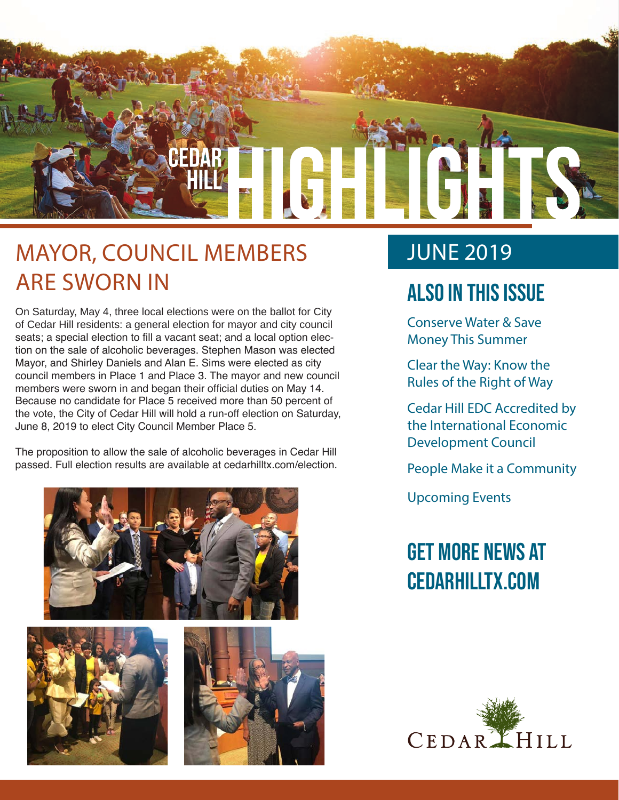

### MAYOR, COUNCIL MEMBERS ARE SWORN IN

On Saturday, May 4, three local elections were on the ballot for City of Cedar Hill residents: a general election for mayor and city council seats; a special election to fill a vacant seat; and a local option election on the sale of alcoholic beverages. Stephen Mason was elected Mayor, and Shirley Daniels and Alan E. Sims were elected as city council members in Place 1 and Place 3. The mayor and new council members were sworn in and began their official duties on May 14. Because no candidate for Place 5 received more than 50 percent of the vote, the City of Cedar Hill will hold a run-off election on Saturday, June 8, 2019 to elect City Council Member Place 5.

The proposition to allow the sale of alcoholic beverages in Cedar Hill passed. Full election results are available at cedarhilltx.com/election.







### JUNE 2019

### Also In this Issue

Conserve Water & Save Money This Summer

Clear the Way: Know the Rules of the Right of Way

Cedar Hill EDC Accredited by the International Economic Development Council

People Make it a Community

Upcoming Events

### Get more news at cedarhilltx.com

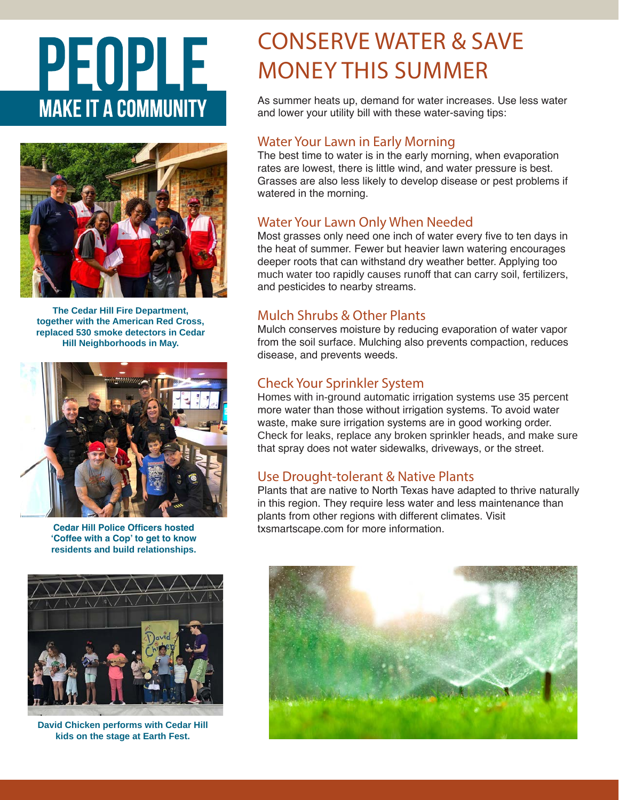# PEOPLE **MAKE IT A COMMUNITY**



**The Cedar Hill Fire Department, together with the American Red Cross, replaced 530 smoke detectors in Cedar Hill Neighborhoods in May.** 



**Cedar Hill Police Officers hosted 'Coffee with a Cop' to get to know residents and build relationships.**



**David Chicken performs with Cedar Hill kids on the stage at Earth Fest.**

### CONSERVE WATER & SAVE MONEY THIS SUMMER

As summer heats up, demand for water increases. Use less water and lower your utility bill with these water-saving tips:

#### Water Your Lawn in Early Morning

The best time to water is in the early morning, when evaporation rates are lowest, there is little wind, and water pressure is best. Grasses are also less likely to develop disease or pest problems if watered in the morning.

#### Water Your Lawn Only When Needed

Most grasses only need one inch of water every five to ten days in the heat of summer. Fewer but heavier lawn watering encourages deeper roots that can withstand dry weather better. Applying too much water too rapidly causes runoff that can carry soil, fertilizers, and pesticides to nearby streams.

#### Mulch Shrubs & Other Plants

Mulch conserves moisture by reducing evaporation of water vapor from the soil surface. Mulching also prevents compaction, reduces disease, and prevents weeds.

#### Check Your Sprinkler System

Homes with in-ground automatic irrigation systems use 35 percent more water than those without irrigation systems. To avoid water waste, make sure irrigation systems are in good working order. Check for leaks, replace any broken sprinkler heads, and make sure that spray does not water sidewalks, driveways, or the street.

#### Use Drought-tolerant & Native Plants

Plants that are native to North Texas have adapted to thrive naturally in this region. They require less water and less maintenance than plants from other regions with different climates. Visit txsmartscape.com for more information.

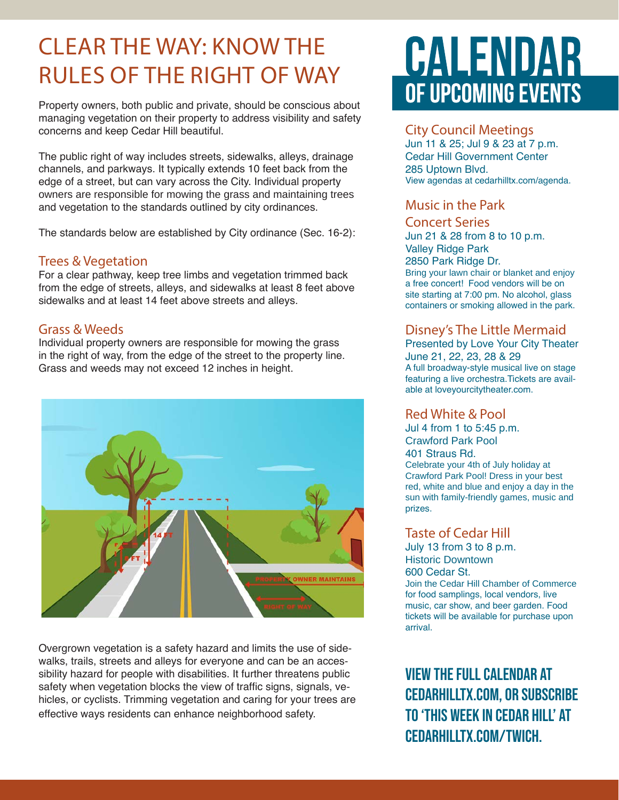### CLEAR THE WAY: KNOW THE RULES OF THE RIGHT OF WAY

Property owners, both public and private, should be conscious about managing vegetation on their property to address visibility and safety concerns and keep Cedar Hill beautiful.

The public right of way includes streets, sidewalks, alleys, drainage channels, and parkways. It typically extends 10 feet back from the edge of a street, but can vary across the City. Individual property owners are responsible for mowing the grass and maintaining trees and vegetation to the standards outlined by city ordinances.

The standards below are established by City ordinance (Sec. 16-2):

#### Trees & Vegetation

For a clear pathway, keep tree limbs and vegetation trimmed back from the edge of streets, alleys, and sidewalks at least 8 feet above sidewalks and at least 14 feet above streets and alleys.

#### Grass & Weeds

Individual property owners are responsible for mowing the grass in the right of way, from the edge of the street to the property line. Grass and weeds may not exceed 12 inches in height.



Overgrown vegetation is a safety hazard and limits the use of sidewalks, trails, streets and alleys for everyone and can be an accessibility hazard for people with disabilities. It further threatens public safety when vegetation blocks the view of traffic signs, signals, vehicles, or cyclists. Trimming vegetation and caring for your trees are effective ways residents can enhance neighborhood safety.

## **CALENDAR** OF UPCOMING EVENTS

#### City Council Meetings

Jun 11 & 25; Jul 9 & 23 at 7 p.m. Cedar Hill Government Center 285 Uptown Blvd. View agendas at cedarhilltx.com/agenda.

#### Music in the Park

#### Concert Series

Jun 21 & 28 from 8 to 10 p.m. Valley Ridge Park 2850 Park Ridge Dr. Bring your lawn chair or blanket and enjoy a free concert! Food vendors will be on site starting at 7:00 pm. No alcohol, glass containers or smoking allowed in the park.

#### Disney's The Little Mermaid

Presented by Love Your City Theater June 21, 22, 23, 28 & 29 A full broadway-style musical live on stage featuring a live orchestra.Tickets are available at loveyourcitytheater.com.

#### Red White & Pool

Jul 4 from 1 to 5:45 p.m. Crawford Park Pool 401 Straus Rd. Celebrate your 4th of July holiday at Crawford Park Pool! Dress in your best red, white and blue and enjoy a day in the sun with family-friendly games, music and prizes.

#### Taste of Cedar Hill

July 13 from 3 to 8 p.m. Historic Downtown 600 Cedar St. Join the Cedar Hill Chamber of Commerce for food samplings, local vendors, live music, car show, and beer garden. Food tickets will be available for purchase upon arrival.

View the full calendar at cedarhilltx.com, or subscribe to 'This Week in Cedar Hill' at cedarhilltx.com/twich.